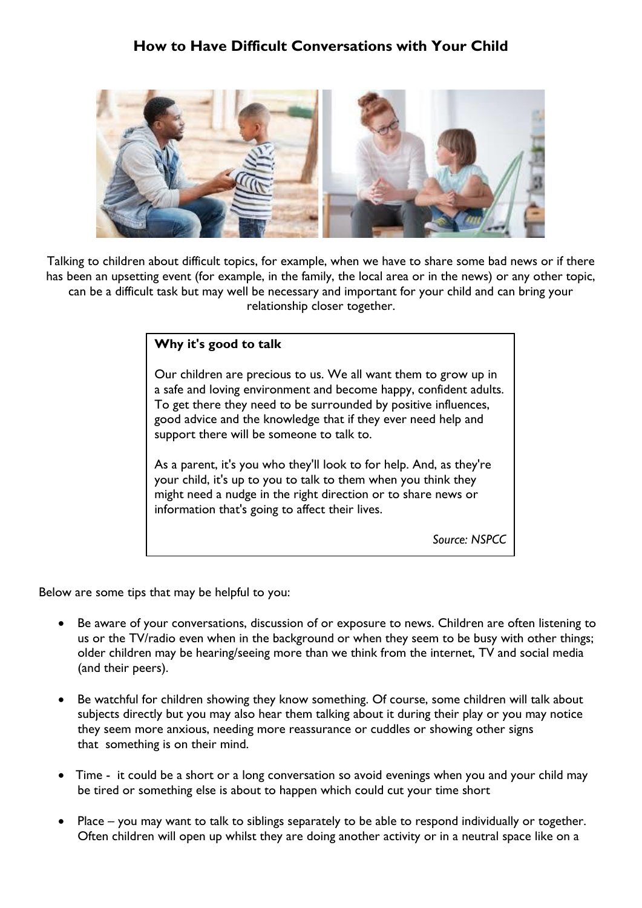## **How to Have Difficult Conversations with Your Child**



Talking to children about difficult topics, for example, when we have to share some bad news or if there has been an upsetting event (for example, in the family, the local area or in the news) or any other topic, can be a difficult task but may well be necessary and important for your child and can bring your relationship closer together.

## **Why it's good to talk**

Our children are precious to us. We all want them to grow up in a safe and loving environment and become happy, confident adults. To get there they need to be surrounded by positive influences, good advice and the knowledge that if they ever need help and support there will be someone to talk to.

As a parent, it's you who they'll look to for help. And, as they're your child, it's up to you to talk to them when you think they might need a nudge in the right direction or to share news or information that's going to affect their lives.

*Source: NSPCC*

Below are some tips that may be helpful to you:

- Be aware of your conversations, discussion of or exposure to news. Children are often listening to us or the TV/radio even when in the background or when they seem to be busy with other things; older children may be hearing/seeing more than we think from the internet, TV and social media (and their peers).
- Be watchful for children showing they know something. Of course, some children will talk about subjects directly but you may also hear them talking about it during their play or you may notice they seem more anxious, needing more reassurance or cuddles or showing other signs that something is on their mind.
- Time it could be a short or a long conversation so avoid evenings when you and your child may be tired or something else is about to happen which could cut your time short
- Place you may want to talk to siblings separately to be able to respond individually or together. Often children will open up whilst they are doing another activity or in a neutral space like on a